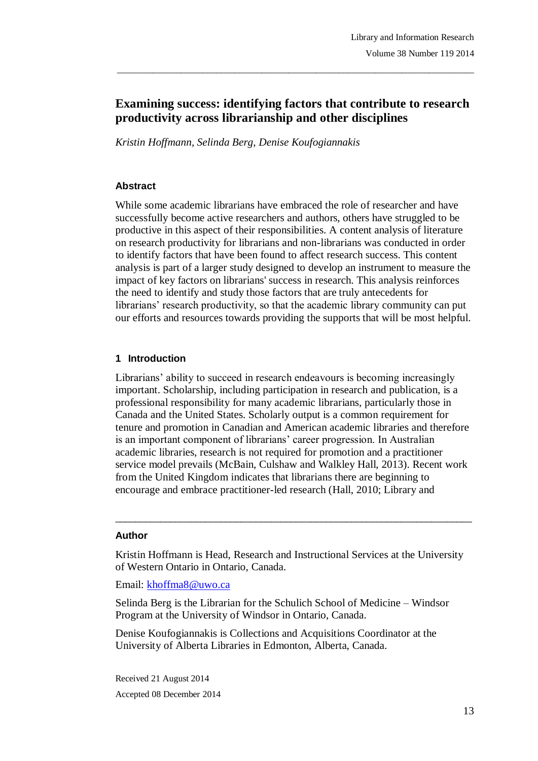# **Examining success: identifying factors that contribute to research productivity across librarianship and other disciplines**

\_\_\_\_\_\_\_\_\_\_\_\_\_\_\_\_\_\_\_\_\_\_\_\_\_\_\_\_\_\_\_\_\_\_\_\_\_\_\_\_\_\_\_\_\_\_\_\_\_\_\_\_\_\_\_\_\_\_\_\_\_\_\_\_\_\_\_\_\_\_\_\_\_\_\_\_\_\_\_

*Kristin Hoffmann, Selinda Berg, Denise Koufogiannakis*

### **Abstract**

While some academic librarians have embraced the role of researcher and have successfully become active researchers and authors, others have struggled to be productive in this aspect of their responsibilities. A content analysis of literature on research productivity for librarians and non-librarians was conducted in order to identify factors that have been found to affect research success. This content analysis is part of a larger study designed to develop an instrument to measure the impact of key factors on librarians' success in research. This analysis reinforces the need to identify and study those factors that are truly antecedents for librarians' research productivity, so that the academic library community can put our efforts and resources towards providing the supports that will be most helpful.

### **1 Introduction**

Librarians' ability to succeed in research endeavours is becoming increasingly important. Scholarship, including participation in research and publication, is a professional responsibility for many academic librarians, particularly those in Canada and the United States. Scholarly output is a common requirement for tenure and promotion in Canadian and American academic libraries and therefore is an important component of librarians' career progression. In Australian academic libraries, research is not required for promotion and a practitioner service model prevails (McBain, Culshaw and Walkley Hall, 2013). Recent work from the United Kingdom indicates that librarians there are beginning to encourage and embrace practitioner-led research (Hall, 2010; Library and

#### **Author**

Kristin Hoffmann is Head, Research and Instructional Services at the University of Western Ontario in Ontario, Canada.

 $\_$  ,  $\_$  ,  $\_$  ,  $\_$  ,  $\_$  ,  $\_$  ,  $\_$  ,  $\_$  ,  $\_$  ,  $\_$  ,  $\_$  ,  $\_$  ,  $\_$  ,  $\_$  ,  $\_$  ,  $\_$  ,  $\_$  ,  $\_$  ,  $\_$ 

Email: khoffma8@uwo.ca

Selinda Berg is the Librarian for the Schulich School of Medicine – Windsor Program at the University of Windsor in Ontario, Canada.

Denise Koufogiannakis is Collections and Acquisitions Coordinator at the University of Alberta Libraries in Edmonton, Alberta, Canada.

Received 21 August 2014 Accepted 08 December 2014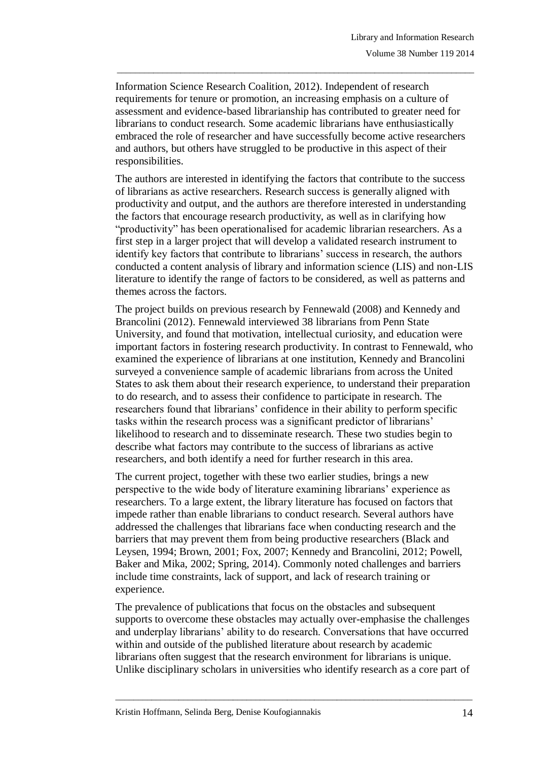Information Science Research Coalition, 2012). Independent of research requirements for tenure or promotion, an increasing emphasis on a culture of assessment and evidence-based librarianship has contributed to greater need for librarians to conduct research. Some academic librarians have enthusiastically embraced the role of researcher and have successfully become active researchers and authors, but others have struggled to be productive in this aspect of their responsibilities.

\_\_\_\_\_\_\_\_\_\_\_\_\_\_\_\_\_\_\_\_\_\_\_\_\_\_\_\_\_\_\_\_\_\_\_\_\_\_\_\_\_\_\_\_\_\_\_\_\_\_\_\_\_\_\_\_\_\_\_\_\_\_\_\_\_\_\_\_\_\_\_\_\_\_\_\_\_\_\_

The authors are interested in identifying the factors that contribute to the success of librarians as active researchers. Research success is generally aligned with productivity and output, and the authors are therefore interested in understanding the factors that encourage research productivity, as well as in clarifying how "productivity" has been operationalised for academic librarian researchers. As a first step in a larger project that will develop a validated research instrument to identify key factors that contribute to librarians' success in research, the authors conducted a content analysis of library and information science (LIS) and non-LIS literature to identify the range of factors to be considered, as well as patterns and themes across the factors.

The project builds on previous research by Fennewald (2008) and Kennedy and Brancolini (2012). Fennewald interviewed 38 librarians from Penn State University, and found that motivation, intellectual curiosity, and education were important factors in fostering research productivity. In contrast to Fennewald, who examined the experience of librarians at one institution, Kennedy and Brancolini surveyed a convenience sample of academic librarians from across the United States to ask them about their research experience, to understand their preparation to do research, and to assess their confidence to participate in research. The researchers found that librarians' confidence in their ability to perform specific tasks within the research process was a significant predictor of librarians' likelihood to research and to disseminate research. These two studies begin to describe what factors may contribute to the success of librarians as active researchers, and both identify a need for further research in this area.

The current project, together with these two earlier studies, brings a new perspective to the wide body of literature examining librarians' experience as researchers. To a large extent, the library literature has focused on factors that impede rather than enable librarians to conduct research. Several authors have addressed the challenges that librarians face when conducting research and the barriers that may prevent them from being productive researchers (Black and Leysen, 1994; Brown, 2001; Fox, 2007; Kennedy and Brancolini, 2012; Powell, Baker and Mika, 2002; Spring, 2014). Commonly noted challenges and barriers include time constraints, lack of support, and lack of research training or experience.

The prevalence of publications that focus on the obstacles and subsequent supports to overcome these obstacles may actually over-emphasise the challenges and underplay librarians' ability to do research. Conversations that have occurred within and outside of the published literature about research by academic librarians often suggest that the research environment for librarians is unique. Unlike disciplinary scholars in universities who identify research as a core part of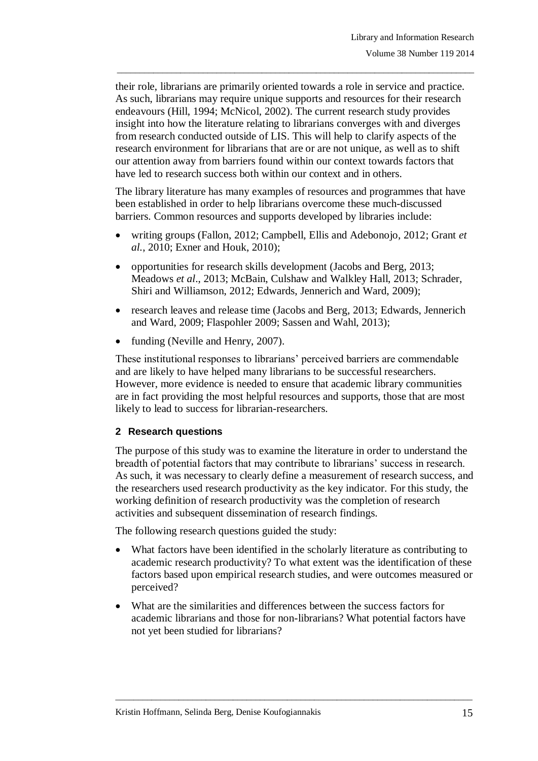their role, librarians are primarily oriented towards a role in service and practice. As such, librarians may require unique supports and resources for their research endeavours (Hill, 1994; McNicol, 2002). The current research study provides insight into how the literature relating to librarians converges with and diverges from research conducted outside of LIS. This will help to clarify aspects of the research environment for librarians that are or are not unique, as well as to shift our attention away from barriers found within our context towards factors that have led to research success both within our context and in others.

\_\_\_\_\_\_\_\_\_\_\_\_\_\_\_\_\_\_\_\_\_\_\_\_\_\_\_\_\_\_\_\_\_\_\_\_\_\_\_\_\_\_\_\_\_\_\_\_\_\_\_\_\_\_\_\_\_\_\_\_\_\_\_\_\_\_\_\_\_\_\_\_\_\_\_\_\_\_\_

The library literature has many examples of resources and programmes that have been established in order to help librarians overcome these much-discussed barriers. Common resources and supports developed by libraries include:

- writing groups (Fallon, 2012; Campbell, Ellis and Adebonojo, 2012; Grant *et al.*, 2010; Exner and Houk, 2010);
- opportunities for research skills development (Jacobs and Berg, 2013; Meadows *et al*., 2013; McBain, Culshaw and Walkley Hall, 2013; Schrader, Shiri and Williamson, 2012; Edwards, Jennerich and Ward, 2009);
- research leaves and release time (Jacobs and Berg, 2013; Edwards, Jennerich and Ward, 2009; Flaspohler 2009; Sassen and Wahl, 2013);
- funding (Neville and Henry, 2007).

These institutional responses to librarians' perceived barriers are commendable and are likely to have helped many librarians to be successful researchers. However, more evidence is needed to ensure that academic library communities are in fact providing the most helpful resources and supports, those that are most likely to lead to success for librarian-researchers.

#### **2 Research questions**

The purpose of this study was to examine the literature in order to understand the breadth of potential factors that may contribute to librarians' success in research. As such, it was necessary to clearly define a measurement of research success, and the researchers used research productivity as the key indicator. For this study, the working definition of research productivity was the completion of research activities and subsequent dissemination of research findings.

The following research questions guided the study:

- What factors have been identified in the scholarly literature as contributing to academic research productivity? To what extent was the identification of these factors based upon empirical research studies, and were outcomes measured or perceived?
- What are the similarities and differences between the success factors for academic librarians and those for non-librarians? What potential factors have not yet been studied for librarians?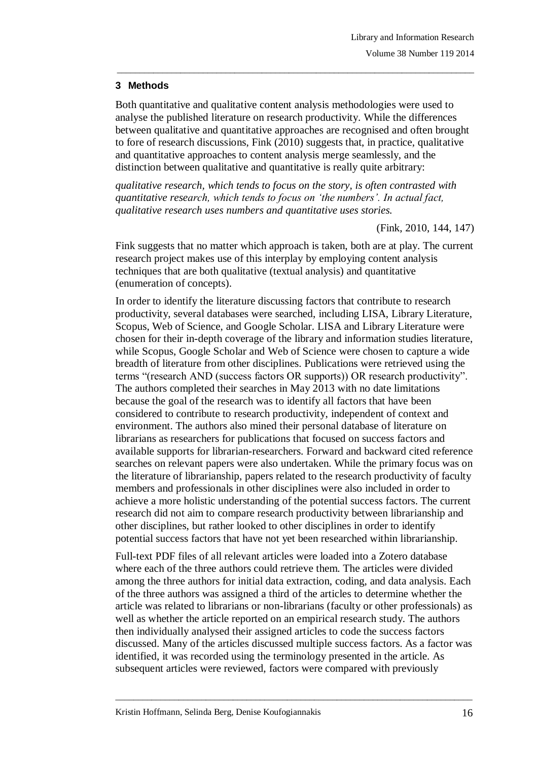# **3 Methods**

Both quantitative and qualitative content analysis methodologies were used to analyse the published literature on research productivity. While the differences between qualitative and quantitative approaches are recognised and often brought to fore of research discussions, Fink (2010) suggests that, in practice, qualitative and quantitative approaches to content analysis merge seamlessly, and the distinction between qualitative and quantitative is really quite arbitrary:

\_\_\_\_\_\_\_\_\_\_\_\_\_\_\_\_\_\_\_\_\_\_\_\_\_\_\_\_\_\_\_\_\_\_\_\_\_\_\_\_\_\_\_\_\_\_\_\_\_\_\_\_\_\_\_\_\_\_\_\_\_\_\_\_\_\_\_\_\_\_\_\_\_\_\_\_\_\_\_

*qualitative research, which tends to focus on the story, is often contrasted with quantitative research, which tends to focus on 'the numbers'. In actual fact, qualitative research uses numbers and quantitative uses stories.* 

(Fink, 2010, 144, 147)

Fink suggests that no matter which approach is taken, both are at play. The current research project makes use of this interplay by employing content analysis techniques that are both qualitative (textual analysis) and quantitative (enumeration of concepts).

In order to identify the literature discussing factors that contribute to research productivity, several databases were searched, including LISA, Library Literature, Scopus, Web of Science, and Google Scholar. LISA and Library Literature were chosen for their in-depth coverage of the library and information studies literature, while Scopus, Google Scholar and Web of Science were chosen to capture a wide breadth of literature from other disciplines. Publications were retrieved using the terms "(research AND (success factors OR supports)) OR research productivity". The authors completed their searches in May 2013 with no date limitations because the goal of the research was to identify all factors that have been considered to contribute to research productivity, independent of context and environment. The authors also mined their personal database of literature on librarians as researchers for publications that focused on success factors and available supports for librarian-researchers. Forward and backward cited reference searches on relevant papers were also undertaken. While the primary focus was on the literature of librarianship, papers related to the research productivity of faculty members and professionals in other disciplines were also included in order to achieve a more holistic understanding of the potential success factors. The current research did not aim to compare research productivity between librarianship and other disciplines, but rather looked to other disciplines in order to identify potential success factors that have not yet been researched within librarianship.

Full-text PDF files of all relevant articles were loaded into a Zotero database where each of the three authors could retrieve them. The articles were divided among the three authors for initial data extraction, coding, and data analysis. Each of the three authors was assigned a third of the articles to determine whether the article was related to librarians or non-librarians (faculty or other professionals) as well as whether the article reported on an empirical research study. The authors then individually analysed their assigned articles to code the success factors discussed. Many of the articles discussed multiple success factors. As a factor was identified, it was recorded using the terminology presented in the article. As subsequent articles were reviewed, factors were compared with previously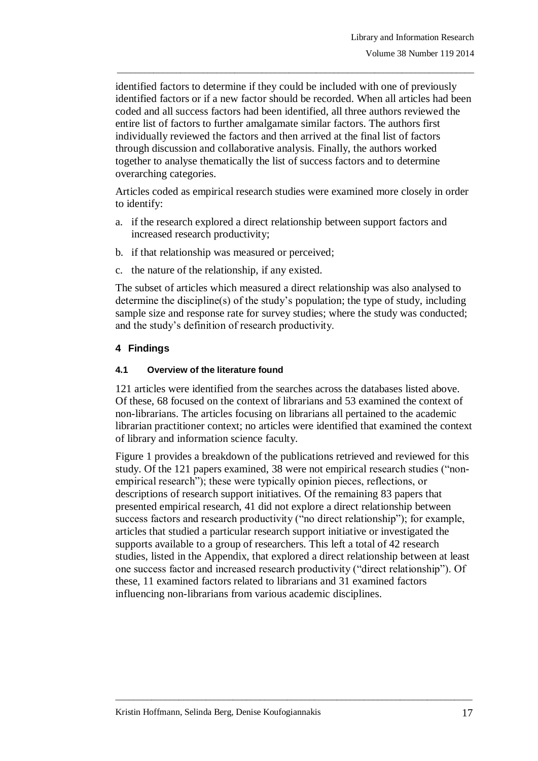identified factors to determine if they could be included with one of previously identified factors or if a new factor should be recorded. When all articles had been coded and all success factors had been identified, all three authors reviewed the entire list of factors to further amalgamate similar factors. The authors first individually reviewed the factors and then arrived at the final list of factors through discussion and collaborative analysis. Finally, the authors worked together to analyse thematically the list of success factors and to determine overarching categories.

\_\_\_\_\_\_\_\_\_\_\_\_\_\_\_\_\_\_\_\_\_\_\_\_\_\_\_\_\_\_\_\_\_\_\_\_\_\_\_\_\_\_\_\_\_\_\_\_\_\_\_\_\_\_\_\_\_\_\_\_\_\_\_\_\_\_\_\_\_\_\_\_\_\_\_\_\_\_\_

Articles coded as empirical research studies were examined more closely in order to identify:

- a. if the research explored a direct relationship between support factors and increased research productivity;
- b. if that relationship was measured or perceived;
- c. the nature of the relationship, if any existed.

The subset of articles which measured a direct relationship was also analysed to determine the discipline(s) of the study's population; the type of study, including sample size and response rate for survey studies; where the study was conducted; and the study's definition of research productivity.

# **4 Findings**

#### **4.1 Overview of the literature found**

121 articles were identified from the searches across the databases listed above. Of these, 68 focused on the context of librarians and 53 examined the context of non-librarians. The articles focusing on librarians all pertained to the academic librarian practitioner context; no articles were identified that examined the context of library and information science faculty.

Figure 1 provides a breakdown of the publications retrieved and reviewed for this study. Of the 121 papers examined, 38 were not empirical research studies ("nonempirical research"); these were typically opinion pieces, reflections, or descriptions of research support initiatives. Of the remaining 83 papers that presented empirical research, 41 did not explore a direct relationship between success factors and research productivity ("no direct relationship"); for example, articles that studied a particular research support initiative or investigated the supports available to a group of researchers. This left a total of 42 research studies, listed in the Appendix, that explored a direct relationship between at least one success factor and increased research productivity ("direct relationship"). Of these, 11 examined factors related to librarians and 31 examined factors influencing non-librarians from various academic disciplines.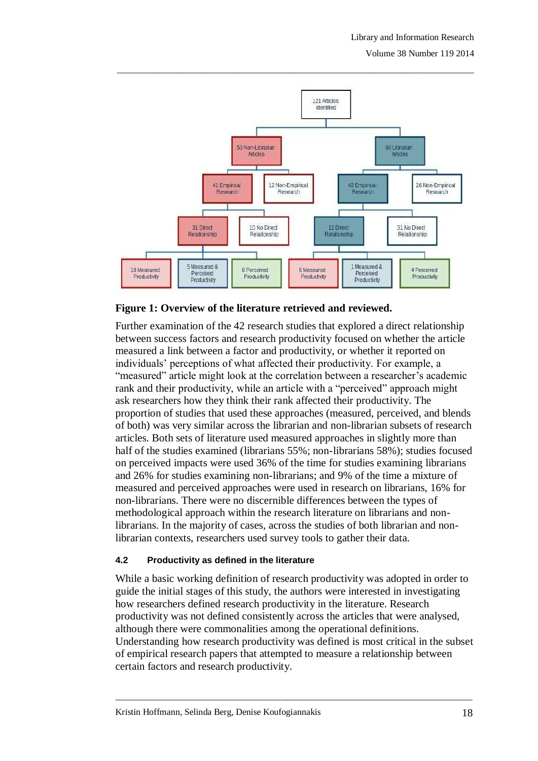

# **Figure 1: Overview of the literature retrieved and reviewed.**

Further examination of the 42 research studies that explored a direct relationship between success factors and research productivity focused on whether the article measured a link between a factor and productivity, or whether it reported on individuals' perceptions of what affected their productivity. For example, a "measured" article might look at the correlation between a researcher's academic rank and their productivity, while an article with a "perceived" approach might ask researchers how they think their rank affected their productivity. The proportion of studies that used these approaches (measured, perceived, and blends of both) was very similar across the librarian and non-librarian subsets of research articles. Both sets of literature used measured approaches in slightly more than half of the studies examined (librarians 55%; non-librarians 58%); studies focused on perceived impacts were used 36% of the time for studies examining librarians and 26% for studies examining non-librarians; and 9% of the time a mixture of measured and perceived approaches were used in research on librarians, 16% for non-librarians. There were no discernible differences between the types of methodological approach within the research literature on librarians and nonlibrarians. In the majority of cases, across the studies of both librarian and nonlibrarian contexts, researchers used survey tools to gather their data.

#### **4.2 Productivity as defined in the literature**

While a basic working definition of research productivity was adopted in order to guide the initial stages of this study, the authors were interested in investigating how researchers defined research productivity in the literature. Research productivity was not defined consistently across the articles that were analysed, although there were commonalities among the operational definitions. Understanding how research productivity was defined is most critical in the subset of empirical research papers that attempted to measure a relationship between certain factors and research productivity.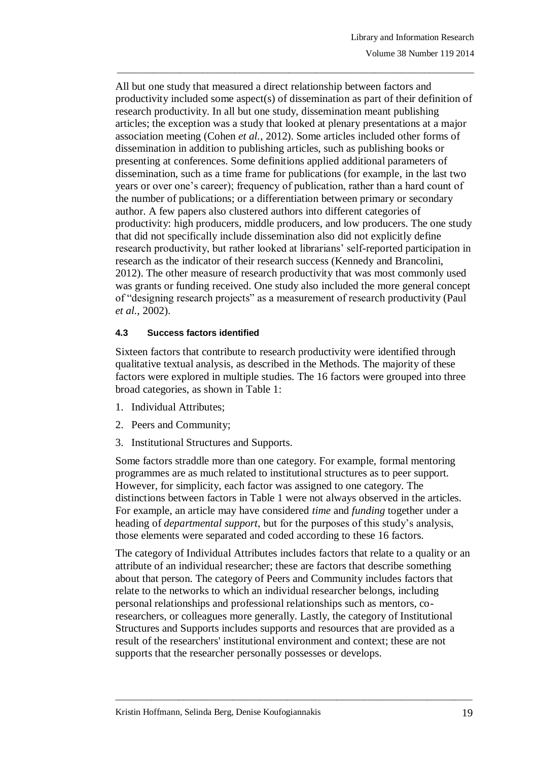All but one study that measured a direct relationship between factors and productivity included some aspect(s) of dissemination as part of their definition of research productivity. In all but one study, dissemination meant publishing articles; the exception was a study that looked at plenary presentations at a major association meeting (Cohen *et al.*, 2012). Some articles included other forms of dissemination in addition to publishing articles, such as publishing books or presenting at conferences. Some definitions applied additional parameters of dissemination, such as a time frame for publications (for example, in the last two years or over one's career); frequency of publication, rather than a hard count of the number of publications; or a differentiation between primary or secondary author. A few papers also clustered authors into different categories of productivity: high producers, middle producers, and low producers. The one study that did not specifically include dissemination also did not explicitly define research productivity, but rather looked at librarians' self-reported participation in research as the indicator of their research success (Kennedy and Brancolini, 2012). The other measure of research productivity that was most commonly used was grants or funding received. One study also included the more general concept of "designing research projects" as a measurement of research productivity (Paul *et al.*, 2002).

\_\_\_\_\_\_\_\_\_\_\_\_\_\_\_\_\_\_\_\_\_\_\_\_\_\_\_\_\_\_\_\_\_\_\_\_\_\_\_\_\_\_\_\_\_\_\_\_\_\_\_\_\_\_\_\_\_\_\_\_\_\_\_\_\_\_\_\_\_\_\_\_\_\_\_\_\_\_\_

### **4.3 Success factors identified**

Sixteen factors that contribute to research productivity were identified through qualitative textual analysis, as described in the Methods. The majority of these factors were explored in multiple studies. The 16 factors were grouped into three broad categories, as shown in Table 1:

- 1. Individual Attributes;
- 2. Peers and Community;
- 3. Institutional Structures and Supports.

Some factors straddle more than one category. For example, formal mentoring programmes are as much related to institutional structures as to peer support. However, for simplicity, each factor was assigned to one category. The distinctions between factors in Table 1 were not always observed in the articles. For example, an article may have considered *time* and *funding* together under a heading of *departmental support*, but for the purposes of this study's analysis, those elements were separated and coded according to these 16 factors.

The category of Individual Attributes includes factors that relate to a quality or an attribute of an individual researcher; these are factors that describe something about that person. The category of Peers and Community includes factors that relate to the networks to which an individual researcher belongs, including personal relationships and professional relationships such as mentors, coresearchers, or colleagues more generally. Lastly, the category of Institutional Structures and Supports includes supports and resources that are provided as a result of the researchers' institutional environment and context; these are not supports that the researcher personally possesses or develops.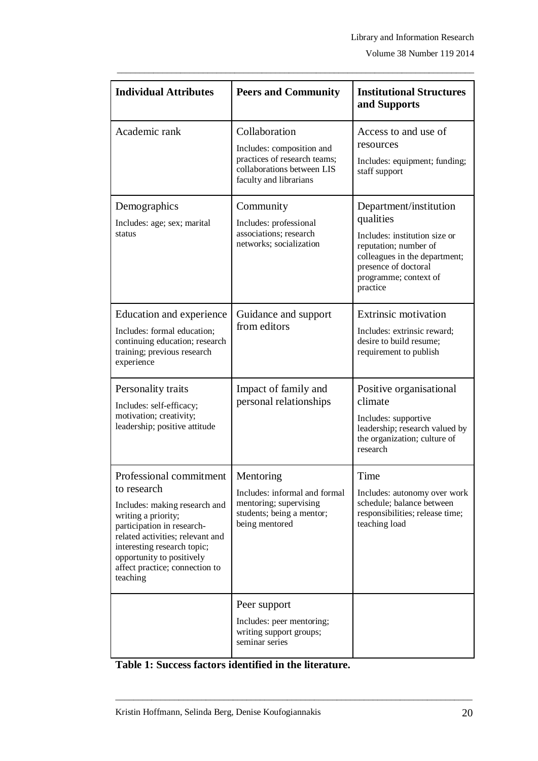Volume 38 Number 119 2014

| <b>Individual Attributes</b>                                                                                                                                                                                                                                               | <b>Peers and Community</b>                                                                                                         | <b>Institutional Structures</b><br>and Supports                                                                                                                                             |  |
|----------------------------------------------------------------------------------------------------------------------------------------------------------------------------------------------------------------------------------------------------------------------------|------------------------------------------------------------------------------------------------------------------------------------|---------------------------------------------------------------------------------------------------------------------------------------------------------------------------------------------|--|
| Academic rank                                                                                                                                                                                                                                                              | Collaboration<br>Includes: composition and<br>practices of research teams;<br>collaborations between LIS<br>faculty and librarians | Access to and use of<br>resources<br>Includes: equipment; funding;<br>staff support                                                                                                         |  |
| Demographics<br>Includes: age; sex; marital<br>status                                                                                                                                                                                                                      | Community<br>Includes: professional<br>associations; research<br>networks; socialization                                           | Department/institution<br>qualities<br>Includes: institution size or<br>reputation; number of<br>colleagues in the department;<br>presence of doctoral<br>programme; context of<br>practice |  |
| Education and experience<br>Includes: formal education;<br>continuing education; research<br>training; previous research<br>experience                                                                                                                                     | Guidance and support<br>from editors                                                                                               | <b>Extrinsic motivation</b><br>Includes: extrinsic reward;<br>desire to build resume;<br>requirement to publish                                                                             |  |
| Personality traits<br>Includes: self-efficacy;<br>motivation; creativity;<br>leadership; positive attitude                                                                                                                                                                 | Impact of family and<br>personal relationships                                                                                     | Positive organisational<br>climate<br>Includes: supportive<br>leadership; research valued by<br>the organization; culture of<br>research                                                    |  |
| Professional commitment<br>to research<br>Includes: making research and<br>writing a priority;<br>participation in research-<br>related activities; relevant and<br>interesting research topic;<br>opportunity to positively<br>affect practice; connection to<br>teaching | Mentoring<br>Includes: informal and formal<br>mentoring; supervising<br>students; being a mentor;<br>being mentored                | Time<br>Includes: autonomy over work<br>schedule; balance between<br>responsibilities; release time;<br>teaching load                                                                       |  |
|                                                                                                                                                                                                                                                                            | Peer support<br>Includes: peer mentoring;<br>writing support groups;<br>seminar series                                             |                                                                                                                                                                                             |  |

\_\_\_\_\_\_\_\_\_\_\_\_\_\_\_\_\_\_\_\_\_\_\_\_\_\_\_\_\_\_\_\_\_\_\_\_\_\_\_\_\_\_\_\_\_\_\_\_\_\_\_\_\_\_\_\_\_\_\_\_\_\_\_\_\_\_\_\_\_\_\_\_\_\_\_\_\_\_\_

**Table 1: Success factors identified in the literature.**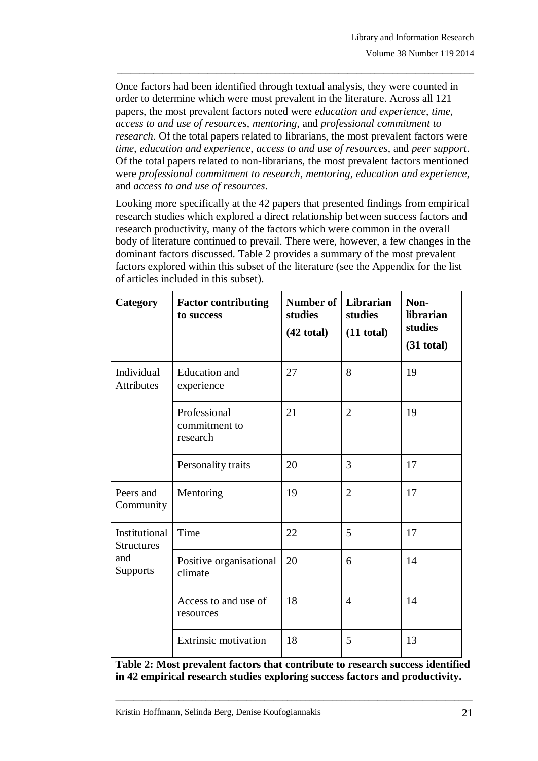Once factors had been identified through textual analysis, they were counted in order to determine which were most prevalent in the literature. Across all 121 papers, the most prevalent factors noted were *education and experience*, *time*, *access to and use of resources*, *mentoring*, and *professional commitment to research*. Of the total papers related to librarians, the most prevalent factors were *time*, *education and experience*, *access to and use of resources*, and *peer support*. Of the total papers related to non-librarians, the most prevalent factors mentioned were *professional commitment to research*, *mentoring*, *education and experience*, and *access to and use of resources*.

\_\_\_\_\_\_\_\_\_\_\_\_\_\_\_\_\_\_\_\_\_\_\_\_\_\_\_\_\_\_\_\_\_\_\_\_\_\_\_\_\_\_\_\_\_\_\_\_\_\_\_\_\_\_\_\_\_\_\_\_\_\_\_\_\_\_\_\_\_\_\_\_\_\_\_\_\_\_\_

Looking more specifically at the 42 papers that presented findings from empirical research studies which explored a direct relationship between success factors and research productivity, many of the factors which were common in the overall body of literature continued to prevail. There were, however, a few changes in the dominant factors discussed. Table 2 provides a summary of the most prevalent factors explored within this subset of the literature (see the Appendix for the list of articles included in this subset).

| Category                                                     | <b>Factor contributing</b><br>to success  | Number of<br>studies<br>$(42$ total) | Librarian<br>studies<br>$(11$ total) | Non-<br>librarian<br>studies<br>$(31$ total) |
|--------------------------------------------------------------|-------------------------------------------|--------------------------------------|--------------------------------------|----------------------------------------------|
| Individual<br>Attributes                                     | <b>Education</b> and<br>experience        | 27                                   | 8                                    | 19                                           |
|                                                              | Professional<br>commitment to<br>research | 21                                   | $\overline{2}$                       | 19                                           |
|                                                              | Personality traits                        | 20                                   | 3                                    | 17                                           |
| Peers and<br>Community                                       | Mentoring                                 | 19                                   | $\overline{2}$                       | 17                                           |
| Institutional<br><b>Structures</b><br>and<br><b>Supports</b> | Time                                      | 22                                   | 5                                    | 17                                           |
|                                                              | Positive organisational<br>climate        | 20                                   | 6                                    | 14                                           |
|                                                              | Access to and use of<br>resources         | 18                                   | $\overline{4}$                       | 14                                           |
|                                                              | <b>Extrinsic motivation</b>               | 18                                   | 5                                    | 13                                           |

**Table 2: Most prevalent factors that contribute to research success identified in 42 empirical research studies exploring success factors and productivity.**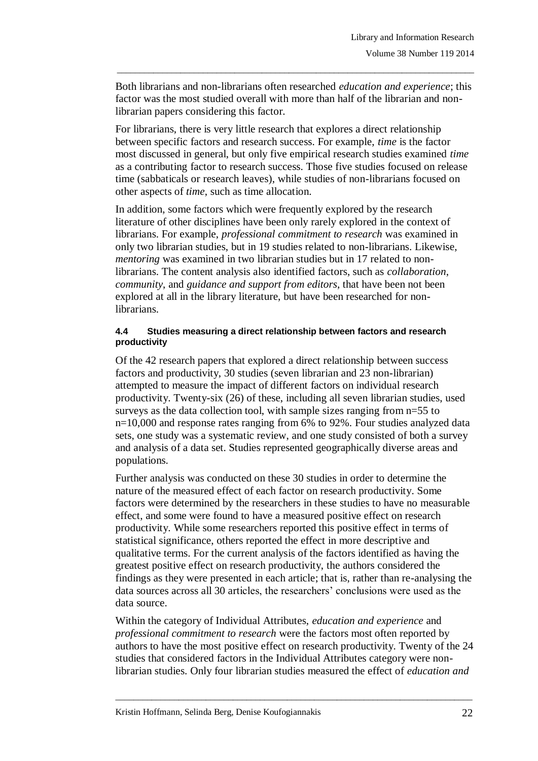Both librarians and non-librarians often researched *education and experience*; this factor was the most studied overall with more than half of the librarian and nonlibrarian papers considering this factor.

\_\_\_\_\_\_\_\_\_\_\_\_\_\_\_\_\_\_\_\_\_\_\_\_\_\_\_\_\_\_\_\_\_\_\_\_\_\_\_\_\_\_\_\_\_\_\_\_\_\_\_\_\_\_\_\_\_\_\_\_\_\_\_\_\_\_\_\_\_\_\_\_\_\_\_\_\_\_\_

For librarians, there is very little research that explores a direct relationship between specific factors and research success. For example, *time* is the factor most discussed in general, but only five empirical research studies examined *time* as a contributing factor to research success. Those five studies focused on release time (sabbaticals or research leaves), while studies of non-librarians focused on other aspects of *time*, such as time allocation.

In addition, some factors which were frequently explored by the research literature of other disciplines have been only rarely explored in the context of librarians. For example, *professional commitment to research* was examined in only two librarian studies, but in 19 studies related to non-librarians. Likewise, *mentoring* was examined in two librarian studies but in 17 related to nonlibrarians. The content analysis also identified factors, such as *collaboration*, *community*, and *guidance and support from editors*, that have been not been explored at all in the library literature, but have been researched for nonlibrarians.

#### **4.4 Studies measuring a direct relationship between factors and research productivity**

Of the 42 research papers that explored a direct relationship between success factors and productivity, 30 studies (seven librarian and 23 non-librarian) attempted to measure the impact of different factors on individual research productivity. Twenty-six (26) of these, including all seven librarian studies, used surveys as the data collection tool, with sample sizes ranging from n=55 to n=10,000 and response rates ranging from 6% to 92%. Four studies analyzed data sets, one study was a systematic review, and one study consisted of both a survey and analysis of a data set. Studies represented geographically diverse areas and populations.

Further analysis was conducted on these 30 studies in order to determine the nature of the measured effect of each factor on research productivity. Some factors were determined by the researchers in these studies to have no measurable effect, and some were found to have a measured positive effect on research productivity. While some researchers reported this positive effect in terms of statistical significance, others reported the effect in more descriptive and qualitative terms. For the current analysis of the factors identified as having the greatest positive effect on research productivity, the authors considered the findings as they were presented in each article; that is, rather than re-analysing the data sources across all 30 articles, the researchers' conclusions were used as the data source.

Within the category of Individual Attributes, *education and experience* and *professional commitment to research* were the factors most often reported by authors to have the most positive effect on research productivity. Twenty of the 24 studies that considered factors in the Individual Attributes category were nonlibrarian studies. Only four librarian studies measured the effect of *education and*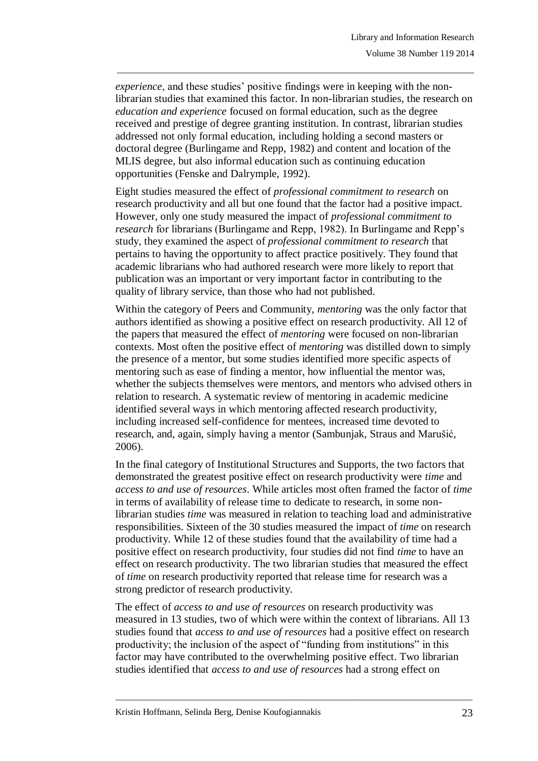*experience*, and these studies' positive findings were in keeping with the nonlibrarian studies that examined this factor. In non-librarian studies, the research on *education and experience* focused on formal education, such as the degree received and prestige of degree granting institution. In contrast, librarian studies addressed not only formal education, including holding a second masters or doctoral degree (Burlingame and Repp, 1982) and content and location of the MLIS degree, but also informal education such as continuing education opportunities (Fenske and Dalrymple, 1992).

\_\_\_\_\_\_\_\_\_\_\_\_\_\_\_\_\_\_\_\_\_\_\_\_\_\_\_\_\_\_\_\_\_\_\_\_\_\_\_\_\_\_\_\_\_\_\_\_\_\_\_\_\_\_\_\_\_\_\_\_\_\_\_\_\_\_\_\_\_\_\_\_\_\_\_\_\_\_\_

Eight studies measured the effect of *professional commitment to research* on research productivity and all but one found that the factor had a positive impact. However, only one study measured the impact of *professional commitment to research* for librarians (Burlingame and Repp, 1982). In Burlingame and Repp's study, they examined the aspect of *professional commitment to research* that pertains to having the opportunity to affect practice positively. They found that academic librarians who had authored research were more likely to report that publication was an important or very important factor in contributing to the quality of library service, than those who had not published.

Within the category of Peers and Community, *mentoring* was the only factor that authors identified as showing a positive effect on research productivity. All 12 of the papers that measured the effect of *mentoring* were focused on non-librarian contexts. Most often the positive effect of *mentoring* was distilled down to simply the presence of a mentor, but some studies identified more specific aspects of mentoring such as ease of finding a mentor, how influential the mentor was, whether the subjects themselves were mentors, and mentors who advised others in relation to research. A systematic review of mentoring in academic medicine identified several ways in which mentoring affected research productivity, including increased self-confidence for mentees, increased time devoted to research, and, again, simply having a mentor (Sambunjak, Straus and Marušić, 2006).

In the final category of Institutional Structures and Supports, the two factors that demonstrated the greatest positive effect on research productivity were *time* and *access to and use of resources*. While articles most often framed the factor of *time* in terms of availability of release time to dedicate to research, in some nonlibrarian studies *time* was measured in relation to teaching load and administrative responsibilities. Sixteen of the 30 studies measured the impact of *time* on research productivity. While 12 of these studies found that the availability of time had a positive effect on research productivity, four studies did not find *time* to have an effect on research productivity. The two librarian studies that measured the effect of *time* on research productivity reported that release time for research was a strong predictor of research productivity.

The effect of *access to and use of resources* on research productivity was measured in 13 studies, two of which were within the context of librarians. All 13 studies found that *access to and use of resources* had a positive effect on research productivity; the inclusion of the aspect of "funding from institutions" in this factor may have contributed to the overwhelming positive effect. Two librarian studies identified that *access to and use of resources* had a strong effect on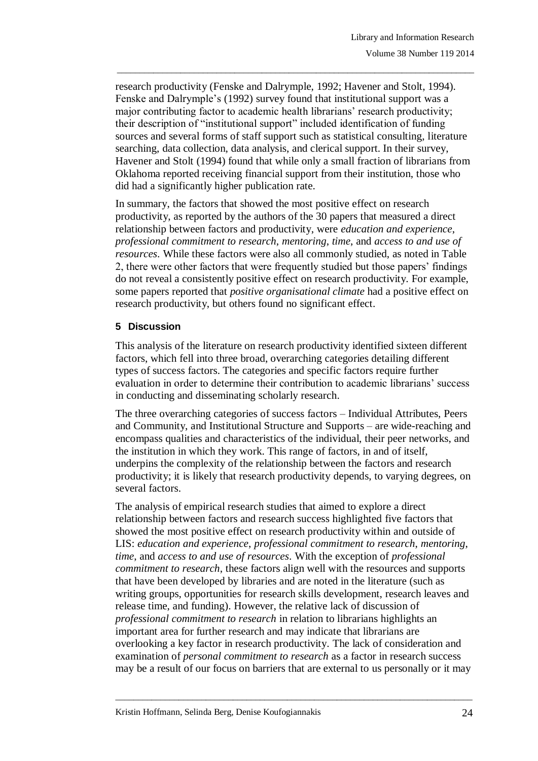research productivity (Fenske and Dalrymple, 1992; Havener and Stolt, 1994). Fenske and Dalrymple's (1992) survey found that institutional support was a major contributing factor to academic health librarians' research productivity; their description of "institutional support" included identification of funding sources and several forms of staff support such as statistical consulting, literature searching, data collection, data analysis, and clerical support. In their survey, Havener and Stolt (1994) found that while only a small fraction of librarians from Oklahoma reported receiving financial support from their institution, those who did had a significantly higher publication rate.

\_\_\_\_\_\_\_\_\_\_\_\_\_\_\_\_\_\_\_\_\_\_\_\_\_\_\_\_\_\_\_\_\_\_\_\_\_\_\_\_\_\_\_\_\_\_\_\_\_\_\_\_\_\_\_\_\_\_\_\_\_\_\_\_\_\_\_\_\_\_\_\_\_\_\_\_\_\_\_

In summary, the factors that showed the most positive effect on research productivity, as reported by the authors of the 30 papers that measured a direct relationship between factors and productivity, were *education and experience*, *professional commitment to research*, *mentoring*, *time*, and *access to and use of resources*. While these factors were also all commonly studied, as noted in Table 2, there were other factors that were frequently studied but those papers' findings do not reveal a consistently positive effect on research productivity. For example, some papers reported that *positive organisational climate* had a positive effect on research productivity, but others found no significant effect.

# **5 Discussion**

This analysis of the literature on research productivity identified sixteen different factors, which fell into three broad, overarching categories detailing different types of success factors. The categories and specific factors require further evaluation in order to determine their contribution to academic librarians' success in conducting and disseminating scholarly research.

The three overarching categories of success factors – Individual Attributes, Peers and Community, and Institutional Structure and Supports – are wide-reaching and encompass qualities and characteristics of the individual, their peer networks, and the institution in which they work. This range of factors, in and of itself, underpins the complexity of the relationship between the factors and research productivity; it is likely that research productivity depends, to varying degrees, on several factors.

The analysis of empirical research studies that aimed to explore a direct relationship between factors and research success highlighted five factors that showed the most positive effect on research productivity within and outside of LIS: *education and experience*, *professional commitment to research*, *mentoring*, *time*, and *access to and use of resources*. With the exception of *professional commitment to research*, these factors align well with the resources and supports that have been developed by libraries and are noted in the literature (such as writing groups, opportunities for research skills development, research leaves and release time, and funding). However, the relative lack of discussion of *professional commitment to research* in relation to librarians highlights an important area for further research and may indicate that librarians are overlooking a key factor in research productivity. The lack of consideration and examination of *personal commitment to research* as a factor in research success may be a result of our focus on barriers that are external to us personally or it may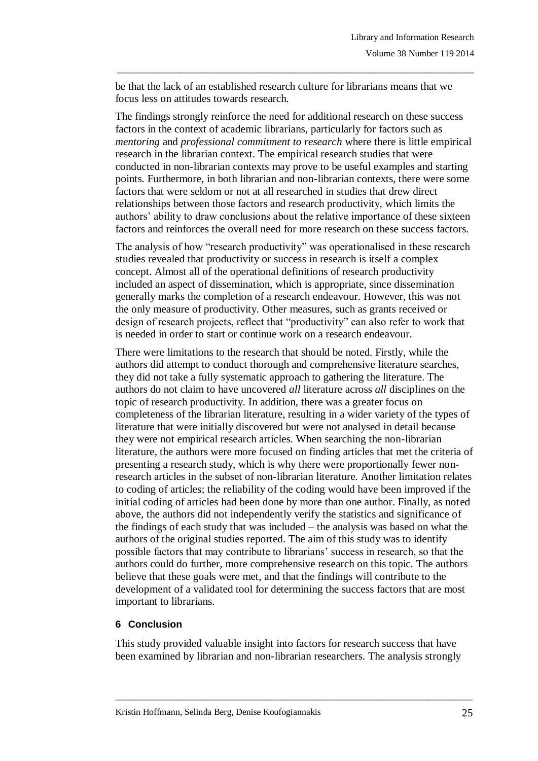be that the lack of an established research culture for librarians means that we focus less on attitudes towards research.

\_\_\_\_\_\_\_\_\_\_\_\_\_\_\_\_\_\_\_\_\_\_\_\_\_\_\_\_\_\_\_\_\_\_\_\_\_\_\_\_\_\_\_\_\_\_\_\_\_\_\_\_\_\_\_\_\_\_\_\_\_\_\_\_\_\_\_\_\_\_\_\_\_\_\_\_\_\_\_

The findings strongly reinforce the need for additional research on these success factors in the context of academic librarians, particularly for factors such as *mentoring* and *professional commitment to research* where there is little empirical research in the librarian context. The empirical research studies that were conducted in non-librarian contexts may prove to be useful examples and starting points. Furthermore, in both librarian and non-librarian contexts, there were some factors that were seldom or not at all researched in studies that drew direct relationships between those factors and research productivity, which limits the authors' ability to draw conclusions about the relative importance of these sixteen factors and reinforces the overall need for more research on these success factors.

The analysis of how "research productivity" was operationalised in these research studies revealed that productivity or success in research is itself a complex concept. Almost all of the operational definitions of research productivity included an aspect of dissemination, which is appropriate, since dissemination generally marks the completion of a research endeavour. However, this was not the only measure of productivity. Other measures, such as grants received or design of research projects, reflect that "productivity" can also refer to work that is needed in order to start or continue work on a research endeavour.

There were limitations to the research that should be noted. Firstly, while the authors did attempt to conduct thorough and comprehensive literature searches, they did not take a fully systematic approach to gathering the literature. The authors do not claim to have uncovered *all* literature across *all* disciplines on the topic of research productivity. In addition, there was a greater focus on completeness of the librarian literature, resulting in a wider variety of the types of literature that were initially discovered but were not analysed in detail because they were not empirical research articles. When searching the non-librarian literature, the authors were more focused on finding articles that met the criteria of presenting a research study, which is why there were proportionally fewer nonresearch articles in the subset of non-librarian literature. Another limitation relates to coding of articles; the reliability of the coding would have been improved if the initial coding of articles had been done by more than one author. Finally, as noted above, the authors did not independently verify the statistics and significance of the findings of each study that was included – the analysis was based on what the authors of the original studies reported. The aim of this study was to identify possible factors that may contribute to librarians' success in research, so that the authors could do further, more comprehensive research on this topic. The authors believe that these goals were met, and that the findings will contribute to the development of a validated tool for determining the success factors that are most important to librarians.

#### **6 Conclusion**

This study provided valuable insight into factors for research success that have been examined by librarian and non-librarian researchers. The analysis strongly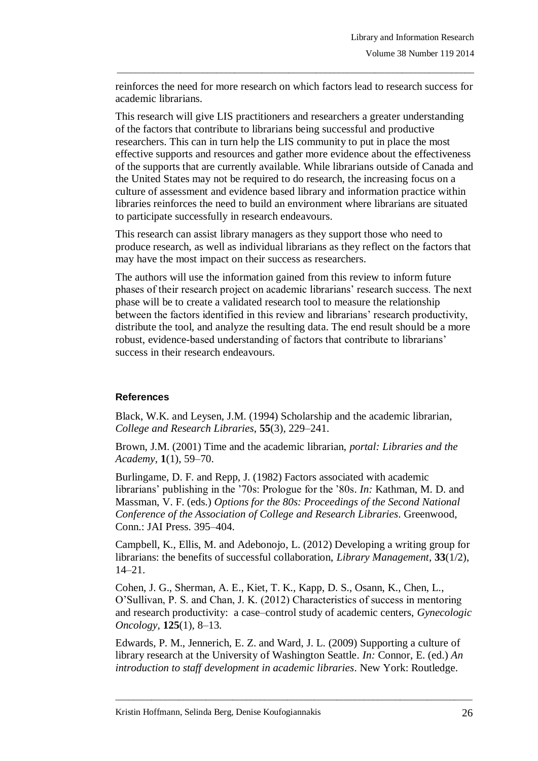reinforces the need for more research on which factors lead to research success for academic librarians.

\_\_\_\_\_\_\_\_\_\_\_\_\_\_\_\_\_\_\_\_\_\_\_\_\_\_\_\_\_\_\_\_\_\_\_\_\_\_\_\_\_\_\_\_\_\_\_\_\_\_\_\_\_\_\_\_\_\_\_\_\_\_\_\_\_\_\_\_\_\_\_\_\_\_\_\_\_\_\_

This research will give LIS practitioners and researchers a greater understanding of the factors that contribute to librarians being successful and productive researchers. This can in turn help the LIS community to put in place the most effective supports and resources and gather more evidence about the effectiveness of the supports that are currently available. While librarians outside of Canada and the United States may not be required to do research, the increasing focus on a culture of assessment and evidence based library and information practice within libraries reinforces the need to build an environment where librarians are situated to participate successfully in research endeavours.

This research can assist library managers as they support those who need to produce research, as well as individual librarians as they reflect on the factors that may have the most impact on their success as researchers.

The authors will use the information gained from this review to inform future phases of their research project on academic librarians' research success. The next phase will be to create a validated research tool to measure the relationship between the factors identified in this review and librarians' research productivity, distribute the tool, and analyze the resulting data. The end result should be a more robust, evidence-based understanding of factors that contribute to librarians' success in their research endeavours.

# **References**

Black, W.K. and Leysen, J.M. (1994) Scholarship and the academic librarian, *College and Research Libraries*, **55**(3), 229–241.

Brown, J.M. (2001) Time and the academic librarian, *portal: Libraries and the Academy*, **1**(1), 59–70.

Burlingame, D. F. and Repp, J. (1982) Factors associated with academic librarians' publishing in the '70s: Prologue for the '80s. *In:* Kathman, M. D. and Massman, V. F. (eds.) *Options for the 80s: Proceedings of the Second National Conference of the Association of College and Research Libraries*. Greenwood, Conn.: JAI Press. 395–404.

Campbell, K., Ellis, M. and Adebonojo, L. (2012) Developing a writing group for librarians: the benefits of successful collaboration, *Library Management*, **33**(1/2), 14–21.

Cohen, J. G., Sherman, A. E., Kiet, T. K., Kapp, D. S., Osann, K., Chen, L., O'Sullivan, P. S. and Chan, J. K. (2012) Characteristics of success in mentoring and research productivity: a case–control study of academic centers, *Gynecologic Oncology*, **125**(1), 8–13.

Edwards, P. M., Jennerich, E. Z. and Ward, J. L. (2009) Supporting a culture of library research at the University of Washington Seattle. *In:* Connor, E. (ed.) *An introduction to staff development in academic libraries*. New York: Routledge.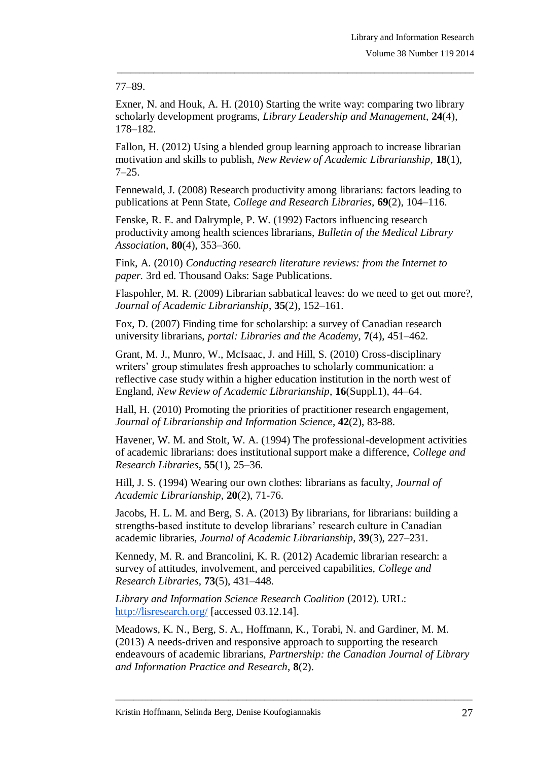### 77–89.

Exner, N. and Houk, A. H. (2010) Starting the write way: comparing two library scholarly development programs, *Library Leadership and Management*, **24**(4), 178–182.

\_\_\_\_\_\_\_\_\_\_\_\_\_\_\_\_\_\_\_\_\_\_\_\_\_\_\_\_\_\_\_\_\_\_\_\_\_\_\_\_\_\_\_\_\_\_\_\_\_\_\_\_\_\_\_\_\_\_\_\_\_\_\_\_\_\_\_\_\_\_\_\_\_\_\_\_\_\_\_

Fallon, H. (2012) Using a blended group learning approach to increase librarian motivation and skills to publish, *New Review of Academic Librarianship*, **18**(1), 7–25.

Fennewald, J. (2008) Research productivity among librarians: factors leading to publications at Penn State, *College and Research Libraries*, **69**(2), 104–116.

Fenske, R. E. and Dalrymple, P. W. (1992) Factors influencing research productivity among health sciences librarians, *Bulletin of the Medical Library Association*, **80**(4), 353–360.

Fink, A. (2010) *Conducting research literature reviews: from the Internet to paper.* 3rd ed. Thousand Oaks: Sage Publications.

Flaspohler, M. R. (2009) Librarian sabbatical leaves: do we need to get out more?, *Journal of Academic Librarianship*, **35**(2), 152–161.

Fox, D. (2007) Finding time for scholarship: a survey of Canadian research university librarians, *portal: Libraries and the Academy*, **7**(4), 451–462.

Grant, M. J., Munro, W., McIsaac, J. and Hill, S. (2010) Cross-disciplinary writers' group stimulates fresh approaches to scholarly communication: a reflective case study within a higher education institution in the north west of England, *New Review of Academic Librarianship*, **16**(Suppl.1), 44–64.

Hall, H. (2010) Promoting the priorities of practitioner research engagement, *Journal of Librarianship and Information Science*, **42**(2), 83-88.

Havener, W. M. and Stolt, W. A. (1994) The professional-development activities of academic librarians: does institutional support make a difference, *College and Research Libraries*, **55**(1), 25–36.

Hill, J. S. (1994) Wearing our own clothes: librarians as faculty, *Journal of Academic Librarianship*, **20**(2), 71-76.

Jacobs, H. L. M. and Berg, S. A. (2013) By librarians, for librarians: building a strengths-based institute to develop librarians' research culture in Canadian academic libraries, *Journal of Academic Librarianship*, **39**(3), 227–231.

Kennedy, M. R. and Brancolini, K. R. (2012) Academic librarian research: a survey of attitudes, involvement, and perceived capabilities, *College and Research Libraries*, **73**(5), 431–448.

*Library and Information Science Research Coalition* (2012). URL: <http://lisresearch.org/> [accessed 03.12.14].

Meadows, K. N., Berg, S. A., Hoffmann, K., Torabi, N. and Gardiner, M. M. (2013) A needs-driven and responsive approach to supporting the research endeavours of academic librarians, *Partnership: the Canadian Journal of Library and Information Practice and Research*, **8**(2).